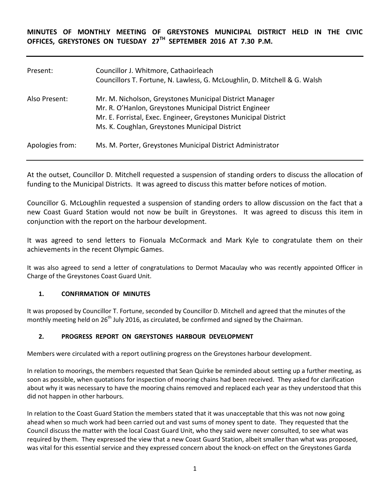**MINUTES OF MONTHLY MEETING OF GREYSTONES MUNICIPAL DISTRICT HELD IN THE CIVIC OFFICES, GREYSTONES ON TUESDAY 27TH SEPTEMBER 2016 AT 7.30 P.M.** 

| Present:        | Councillor J. Whitmore, Cathaoirleach<br>Councillors T. Fortune, N. Lawless, G. McLoughlin, D. Mitchell & G. Walsh                                                                                                                      |
|-----------------|-----------------------------------------------------------------------------------------------------------------------------------------------------------------------------------------------------------------------------------------|
| Also Present:   | Mr. M. Nicholson, Greystones Municipal District Manager<br>Mr. R. O'Hanlon, Greystones Municipal District Engineer<br>Mr. E. Forristal, Exec. Engineer, Greystones Municipal District<br>Ms. K. Coughlan, Greystones Municipal District |
| Apologies from: | Ms. M. Porter, Greystones Municipal District Administrator                                                                                                                                                                              |

At the outset, Councillor D. Mitchell requested a suspension of standing orders to discuss the allocation of funding to the Municipal Districts. It was agreed to discuss this matter before notices of motion.

Councillor G. McLoughlin requested a suspension of standing orders to allow discussion on the fact that a new Coast Guard Station would not now be built in Greystones. It was agreed to discuss this item in conjunction with the report on the harbour development.

It was agreed to send letters to Fionuala McCormack and Mark Kyle to congratulate them on their achievements in the recent Olympic Games.

It was also agreed to send a letter of congratulations to Dermot Macaulay who was recently appointed Officer in Charge of the Greystones Coast Guard Unit.

### **1. CONFIRMATION OF MINUTES**

It was proposed by Councillor T. Fortune, seconded by Councillor D. Mitchell and agreed that the minutes of the monthly meeting held on 26<sup>th</sup> July 2016, as circulated, be confirmed and signed by the Chairman.

### **2. PROGRESS REPORT ON GREYSTONES HARBOUR DEVELOPMENT**

Members were circulated with a report outlining progress on the Greystones harbour development.

In relation to moorings, the members requested that Sean Quirke be reminded about setting up a further meeting, as soon as possible, when quotations for inspection of mooring chains had been received. They asked for clarification about why it was necessary to have the mooring chains removed and replaced each year as they understood that this did not happen in other harbours.

In relation to the Coast Guard Station the members stated that it was unacceptable that this was not now going ahead when so much work had been carried out and vast sums of money spent to date. They requested that the Council discuss the matter with the local Coast Guard Unit, who they said were never consulted, to see what was required by them. They expressed the view that a new Coast Guard Station, albeit smaller than what was proposed, was vital for this essential service and they expressed concern about the knock-on effect on the Greystones Garda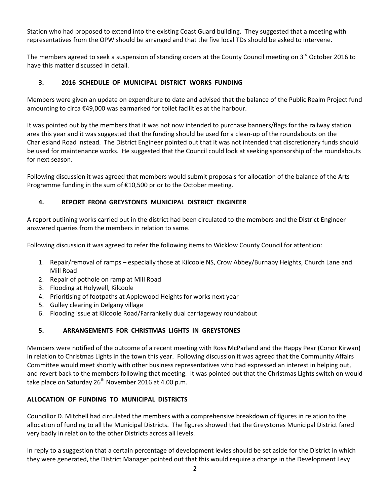Station who had proposed to extend into the existing Coast Guard building. They suggested that a meeting with representatives from the OPW should be arranged and that the five local TDs should be asked to intervene.

The members agreed to seek a suspension of standing orders at the County Council meeting on 3<sup>rd</sup> October 2016 to have this matter discussed in detail.

# **3. 2016 SCHEDULE OF MUNICIPAL DISTRICT WORKS FUNDING**

Members were given an update on expenditure to date and advised that the balance of the Public Realm Project fund amounting to circa €49,000 was earmarked for toilet facilities at the harbour.

It was pointed out by the members that it was not now intended to purchase banners/flags for the railway station area this year and it was suggested that the funding should be used for a clean-up of the roundabouts on the Charlesland Road instead. The District Engineer pointed out that it was not intended that discretionary funds should be used for maintenance works. He suggested that the Council could look at seeking sponsorship of the roundabouts for next season.

Following discussion it was agreed that members would submit proposals for allocation of the balance of the Arts Programme funding in the sum of €10,500 prior to the October meeting.

# **4. REPORT FROM GREYSTONES MUNICIPAL DISTRICT ENGINEER**

A report outlining works carried out in the district had been circulated to the members and the District Engineer answered queries from the members in relation to same.

Following discussion it was agreed to refer the following items to Wicklow County Council for attention:

- 1. Repair/removal of ramps especially those at Kilcoole NS, Crow Abbey/Burnaby Heights, Church Lane and Mill Road
- 2. Repair of pothole on ramp at Mill Road
- 3. Flooding at Holywell, Kilcoole
- 4. Prioritising of footpaths at Applewood Heights for works next year
- 5. Gulley clearing in Delgany village
- 6. Flooding issue at Kilcoole Road/Farrankelly dual carriageway roundabout

### **5. ARRANGEMENTS FOR CHRISTMAS LIGHTS IN GREYSTONES**

Members were notified of the outcome of a recent meeting with Ross McParland and the Happy Pear (Conor Kirwan) in relation to Christmas Lights in the town this year. Following discussion it was agreed that the Community Affairs Committee would meet shortly with other business representatives who had expressed an interest in helping out, and revert back to the members following that meeting. It was pointed out that the Christmas Lights switch on would take place on Saturday  $26^{th}$  November 2016 at 4.00 p.m.

### **ALLOCATION OF FUNDING TO MUNICIPAL DISTRICTS**

Councillor D. Mitchell had circulated the members with a comprehensive breakdown of figures in relation to the allocation of funding to all the Municipal Districts. The figures showed that the Greystones Municipal District fared very badly in relation to the other Districts across all levels.

In reply to a suggestion that a certain percentage of development levies should be set aside for the District in which they were generated, the District Manager pointed out that this would require a change in the Development Levy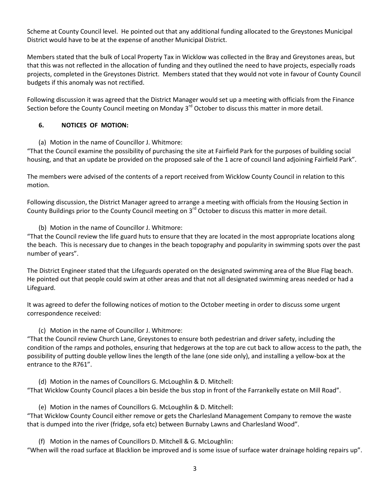Scheme at County Council level. He pointed out that any additional funding allocated to the Greystones Municipal District would have to be at the expense of another Municipal District.

Members stated that the bulk of Local Property Tax in Wicklow was collected in the Bray and Greystones areas, but that this was not reflected in the allocation of funding and they outlined the need to have projects, especially roads projects, completed in the Greystones District. Members stated that they would not vote in favour of County Council budgets if this anomaly was not rectified.

Following discussion it was agreed that the District Manager would set up a meeting with officials from the Finance Section before the County Council meeting on Monday  $3<sup>rd</sup>$  October to discuss this matter in more detail.

### **6. NOTICES OF MOTION:**

(a) Motion in the name of Councillor J. Whitmore:

"That the Council examine the possibility of purchasing the site at Fairfield Park for the purposes of building social housing, and that an update be provided on the proposed sale of the 1 acre of council land adjoining Fairfield Park".

The members were advised of the contents of a report received from Wicklow County Council in relation to this motion.

Following discussion, the District Manager agreed to arrange a meeting with officials from the Housing Section in County Buildings prior to the County Council meeting on 3<sup>rd</sup> October to discuss this matter in more detail.

(b) Motion in the name of Councillor J. Whitmore:

"That the Council review the life guard huts to ensure that they are located in the most appropriate locations along the beach. This is necessary due to changes in the beach topography and popularity in swimming spots over the past number of years".

The District Engineer stated that the Lifeguards operated on the designated swimming area of the Blue Flag beach. He pointed out that people could swim at other areas and that not all designated swimming areas needed or had a Lifeguard.

It was agreed to defer the following notices of motion to the October meeting in order to discuss some urgent correspondence received:

(c) Motion in the name of Councillor J. Whitmore:

"That the Council review Church Lane, Greystones to ensure both pedestrian and driver safety, including the condition of the ramps and potholes, ensuring that hedgerows at the top are cut back to allow access to the path, the possibility of putting double yellow lines the length of the lane (one side only), and installing a yellow-box at the entrance to the R761".

(d) Motion in the names of Councillors G. McLoughlin & D. Mitchell:

"That Wicklow County Council places a bin beside the bus stop in front of the Farrankelly estate on Mill Road".

(e) Motion in the names of Councillors G. McLoughlin & D. Mitchell:

"That Wicklow County Council either remove or gets the Charlesland Management Company to remove the waste that is dumped into the river (fridge, sofa etc) between Burnaby Lawns and Charlesland Wood".

(f) Motion in the names of Councillors D. Mitchell & G. McLoughlin:

"When will the road surface at Blacklion be improved and is some issue of surface water drainage holding repairs up".